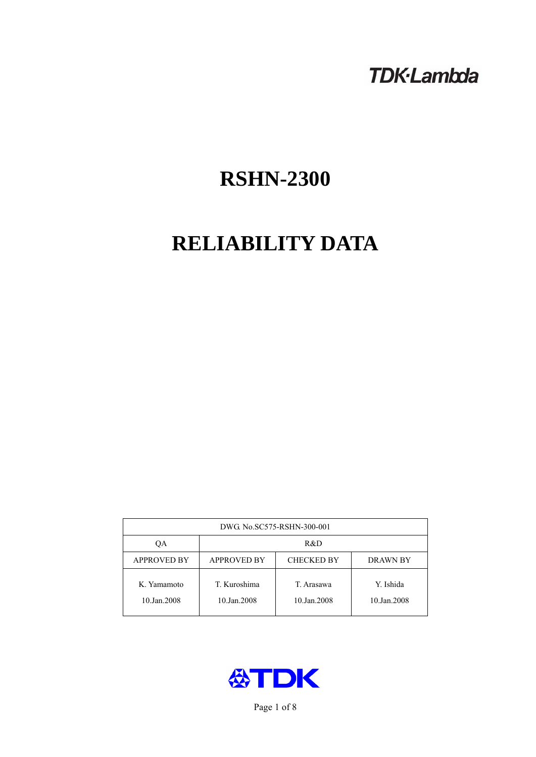# **TDK-Lambda**

# **RSHN-2300**

# **RELIABILITY DATA**

| DWG. No.SC575-RSHN-300-001 |                                                     |                           |                          |  |  |
|----------------------------|-----------------------------------------------------|---------------------------|--------------------------|--|--|
| OА                         | R&D                                                 |                           |                          |  |  |
| <b>APPROVED BY</b>         | <b>APPROVED BY</b><br><b>CHECKED BY</b><br>DRAWN BY |                           |                          |  |  |
| K. Yamamoto<br>10.Jan.2008 | T. Kuroshima<br>10.Jan.2008                         | T. Arasawa<br>10.Jan.2008 | Y. Ishida<br>10.Jan.2008 |  |  |



Page 1 of 8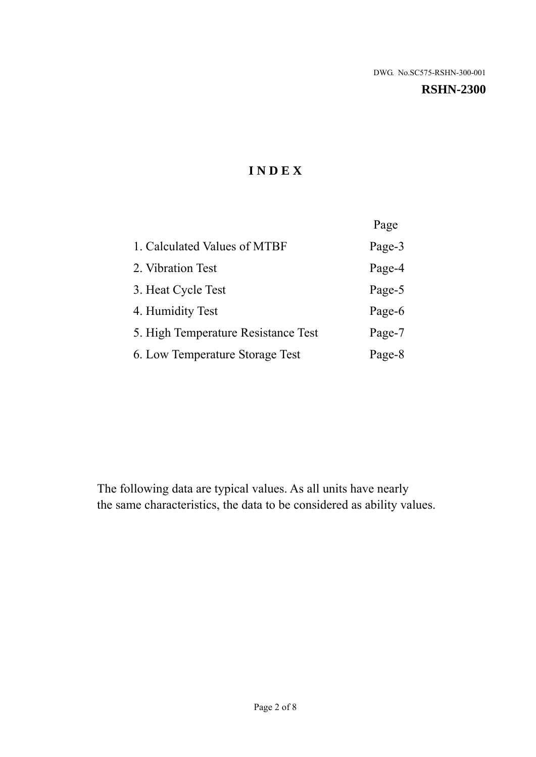#### **RSHN-2300**

# **I N D E X**

|                                     | Page   |
|-------------------------------------|--------|
| 1. Calculated Values of MTBF        | Page-3 |
| 2. Vibration Test                   | Page-4 |
| 3. Heat Cycle Test                  | Page-5 |
| 4. Humidity Test                    | Page-6 |
| 5. High Temperature Resistance Test | Page-7 |
| 6. Low Temperature Storage Test     | Page-8 |

The following data are typical values. As all units have nearly the same characteristics, the data to be considered as ability values.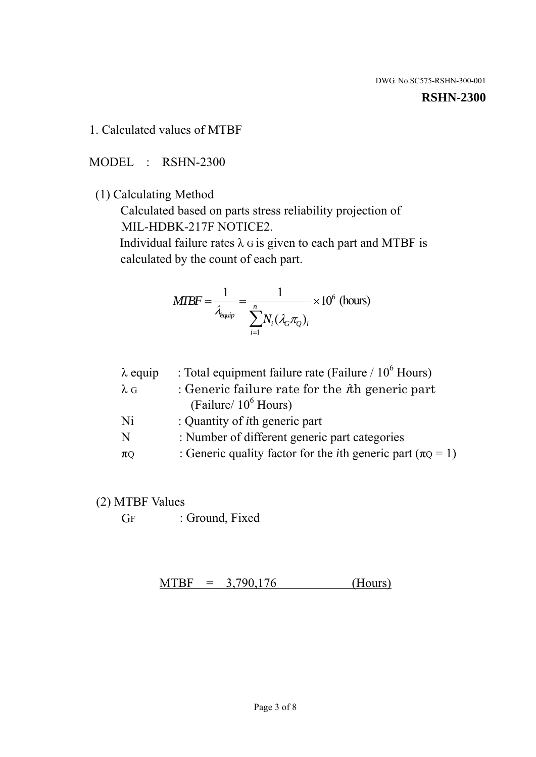#### **RSHN-2300**

1. Calculated values of MTBF

MODEL : RSHN-2300

(1) Calculating Method

 Calculated based on parts stress reliability projection of MIL-HDBK-217F NOTICE2.

Individual failure rates  $\lambda$  G is given to each part and MTBF is calculated by the count of each part.

$$
MTBF = \frac{1}{\lambda_{\text{equip}}} = \frac{1}{\sum_{i=1}^{n} N_i (\lambda_G \pi_Q)_i} \times 10^6 \text{ (hours)}
$$

| $\lambda$ equip | : Total equipment failure rate (Failure $/ 10^6$ Hours)                   |
|-----------------|---------------------------------------------------------------------------|
| $\lambda$ G     | : Generic failure rate for the $\hbar$ generic part                       |
|                 | (Failure/ $10^6$ Hours)                                                   |
| Ni              | : Quantity of <i>i</i> th generic part                                    |
| N               | : Number of different generic part categories                             |
| $\pi$ Q         | : Generic quality factor for the <i>i</i> th generic part ( $\pi Q = 1$ ) |

- (2) MTBF Values
	- GF : Ground, Fixed

 $MTBF = 3,790,176$  (Hours)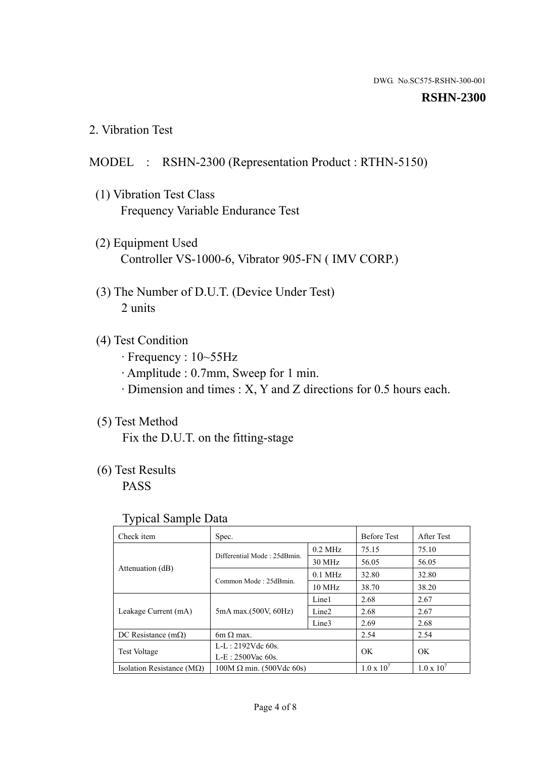#### **RSHN-2300**

2. Vibration Test

## MODEL : RSHN-2300 (Representation Product : RTHN-5150)

- (1) Vibration Test Class Frequency Variable Endurance Test
- (2) Equipment Used Controller VS-1000-6, Vibrator 905-FN ( IMV CORP.)
- (3) The Number of D.U.T. (Device Under Test) 2 units
- (4) Test Condition
	- · Frequency : 10~55Hz
	- · Amplitude : 0.7mm, Sweep for 1 min.
	- · Dimension and times : X, Y and Z directions for 0.5 hours each.

# (5) Test Method

Fix the D.U.T. on the fitting-stage

# (6) Test Results

PASS

#### Typical Sample Data

| Check item                         | Spec.                           |                   | <b>Before Test</b>  | After Test          |
|------------------------------------|---------------------------------|-------------------|---------------------|---------------------|
|                                    | Differential Mode: 25dBmin.     | $0.2$ MHz         | 75.15               | 75.10               |
|                                    |                                 | 30 MHz            | 56.05               | 56.05               |
| Attenuation (dB)                   | Common Mode: 25dBmin.           | $0.1$ MHz         | 32.80               | 32.80               |
|                                    |                                 | 10 MHz            | 38.70               | 38.20               |
| Leakage Current (mA)               | 5mA max.(500V, 60Hz)            | Line1             | 2.68                | 2.67                |
|                                    |                                 | Line <sub>2</sub> | 2.68                | 2.67                |
|                                    |                                 | Line3             | 2.69                | 2.68                |
| DC Resistance $(m\Omega)$          | 6m $\Omega$ max.                |                   | 2.54                | 2.54                |
| <b>Test Voltage</b>                | $L-L: 2192Vdc$ 60s.             |                   | OK<br>OK            |                     |
|                                    | $L-E$ : 2500Vac 60s.            |                   |                     |                     |
| Isolation Resistance ( $M\Omega$ ) | $100M \Omega$ min. (500Vdc 60s) |                   | $1.0 \times 10^{7}$ | $1.0 \times 10^{7}$ |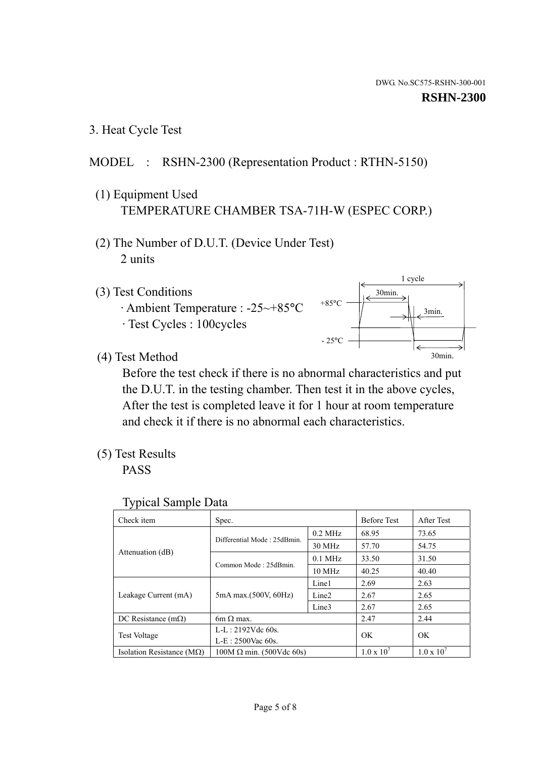1 cycle

30min.

3min.

30min.

3. Heat Cycle Test

# MODEL : RSHN-2300 (Representation Product : RTHN-5150)

- (1) Equipment Used TEMPERATURE CHAMBER TSA-71H-W (ESPEC CORP.)
- (2) The Number of D.U.T. (Device Under Test) 2 units
- (3) Test Conditions
	- · Ambient Temperature : -25~+85°C · Test Cycles : 100cycles
- (4) Test Method

 Before the test check if there is no abnormal characteristics and put the D.U.T. in the testing chamber. Then test it in the above cycles, After the test is completed leave it for 1 hour at room temperature and check it if there is no abnormal each characteristics.

+85°C

 $-25^{\circ}$ C

(5) Test Results

PASS

| <b>Typical Sample Data</b> |  |
|----------------------------|--|
|                            |  |

| Check item                         | Spec.                           |                   | <b>Before Test</b>  | After Test          |
|------------------------------------|---------------------------------|-------------------|---------------------|---------------------|
|                                    | Differential Mode: 25dBmin.     | $0.2$ MHz         | 68.95               | 73.65               |
|                                    |                                 | 30 MHz            | 57.70               | 54.75               |
| Attenuation (dB)                   | Common Mode: 25dBmin.           | $0.1$ MHz         | 33.50               | 31.50               |
|                                    |                                 | 10 MHz            | 40.25               | 40.40               |
| Leakage Current (mA)               | 5mA max.(500V, 60Hz)            | Line1             | 2.69                | 2.63                |
|                                    |                                 | Line <sub>2</sub> | 2.67                | 2.65                |
|                                    |                                 | Line3             | 2.67                | 2.65                |
| DC Resistance $(m\Omega)$          | 6m $\Omega$ max.                |                   | 2.47                | 2.44                |
| Test Voltage                       | $L-L: 2192Vdc$ 60s.             |                   | OK.                 | OK                  |
|                                    | $L-E: 2500$ Vac 60s.            |                   |                     |                     |
| Isolation Resistance ( $M\Omega$ ) | $100M \Omega$ min. (500Vdc 60s) |                   | $1.0 \times 10^{7}$ | $1.0 \times 10^{7}$ |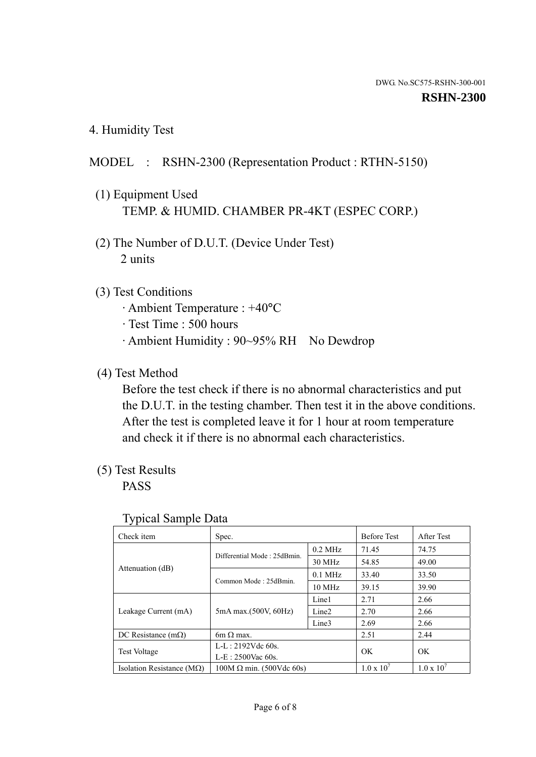4. Humidity Test

# MODEL : RSHN-2300 (Representation Product : RTHN-5150)

- (1) Equipment Used TEMP. & HUMID. CHAMBER PR-4KT (ESPEC CORP.)
- (2) The Number of D.U.T. (Device Under Test) 2 units

### (3) Test Conditions

- · Ambient Temperature : +40°C
- · Test Time : 500 hours
- · Ambient Humidity : 90~95% RH No Dewdrop

# (4) Test Method

 Before the test check if there is no abnormal characteristics and put the D.U.T. in the testing chamber. Then test it in the above conditions. After the test is completed leave it for 1 hour at room temperature and check it if there is no abnormal each characteristics.

## (5) Test Results

PASS

| ັ່<br>Check item                   | Spec.                       |                   | <b>Before Test</b>  | After Test          |
|------------------------------------|-----------------------------|-------------------|---------------------|---------------------|
|                                    | Differential Mode: 25dBmin. | $0.2$ MHz         | 71.45               | 74.75               |
|                                    |                             | 30 MHz            | 54.85               | 49.00               |
| Attenuation (dB)                   | Common Mode: 25dBmin.       | $0.1$ MHz         | 33.40               | 33.50               |
|                                    |                             | $10 \text{ MHz}$  | 39.15               | 39.90               |
| Leakage Current (mA)               | 5mA max.(500V, 60Hz)        | Line1             | 2.71                | 2.66                |
|                                    |                             | Line <sub>2</sub> | 2.70                | 2.66                |
|                                    |                             | Line3             | 2.69                | 2.66                |
| DC Resistance $(m\Omega)$          | $6m \Omega$ max.            |                   | 2.51                | 2.44                |
| Test Voltage                       | $L-L: 2192Vdc$ 60s.         |                   | OK<br>OK.           |                     |
|                                    | $L-E: 2500$ Vac 60s.        |                   |                     |                     |
| Isolation Resistance ( $M\Omega$ ) | $100M$ Ω min. (500Vdc 60s)  |                   | $1.0 \times 10^{7}$ | $1.0 \times 10^{7}$ |

#### Typical Sample Data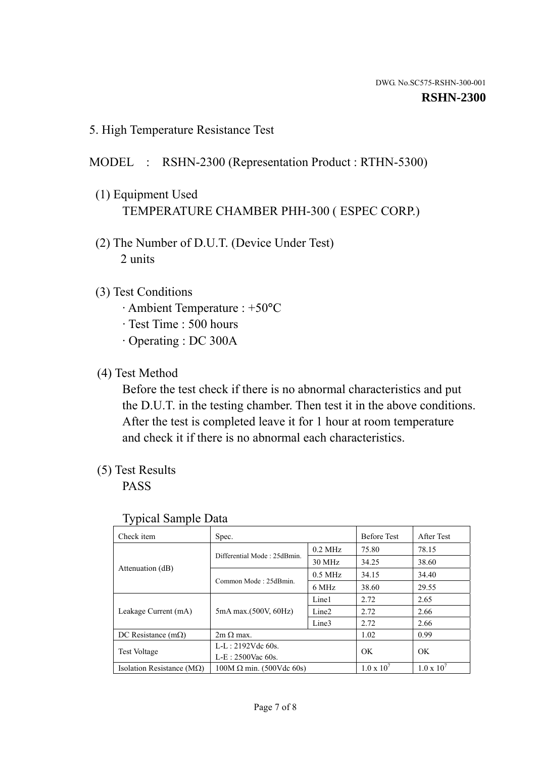5. High Temperature Resistance Test

# MODEL : RSHN-2300 (Representation Product : RTHN-5300)

- (1) Equipment Used TEMPERATURE CHAMBER PHH-300 ( ESPEC CORP.)
- (2) The Number of D.U.T. (Device Under Test) 2 units
- (3) Test Conditions
	- · Ambient Temperature : +50°C
	- · Test Time : 500 hours
	- · Operating : DC 300A
- (4) Test Method

 Before the test check if there is no abnormal characteristics and put the D.U.T. in the testing chamber. Then test it in the above conditions. After the test is completed leave it for 1 hour at room temperature and check it if there is no abnormal each characteristics.

(5) Test Results

PASS

| ╯┸                                 |                                 |                   |                     |                     |
|------------------------------------|---------------------------------|-------------------|---------------------|---------------------|
| Check item                         | Spec.                           |                   | <b>Before Test</b>  | After Test          |
|                                    | Differential Mode: 25dBmin.     | $0.2$ MHz         | 75.80               | 78.15               |
|                                    |                                 | 30 MHz            | 34.25               | 38.60               |
| Attenuation (dB)                   | Common Mode: 25dBmin.           | $0.5$ MHz         | 34.15               | 34.40               |
|                                    |                                 | 6 MHz             | 38.60               | 29.55               |
| Leakage Current (mA)               | 5mA max.(500V, 60Hz)            | Line1             | 2.72                | 2.65                |
|                                    |                                 | Line <sub>2</sub> | 2.72                | 2.66                |
|                                    |                                 | Line <sub>3</sub> | 2.72                | 2.66                |
| DC Resistance $(m\Omega)$          | $2m \Omega$ max.                |                   | 1.02                | 0.99                |
| <b>Test Voltage</b>                | $L-L: 2192Vdc$ 60s.             |                   | OK                  | OK                  |
|                                    | $L-E: 2500$ Vac 60s.            |                   |                     |                     |
| Isolation Resistance ( $M\Omega$ ) | $100M \Omega$ min. (500Vdc 60s) |                   | $1.0 \times 10^{7}$ | $1.0 \times 10^{7}$ |

#### Typical Sample Data